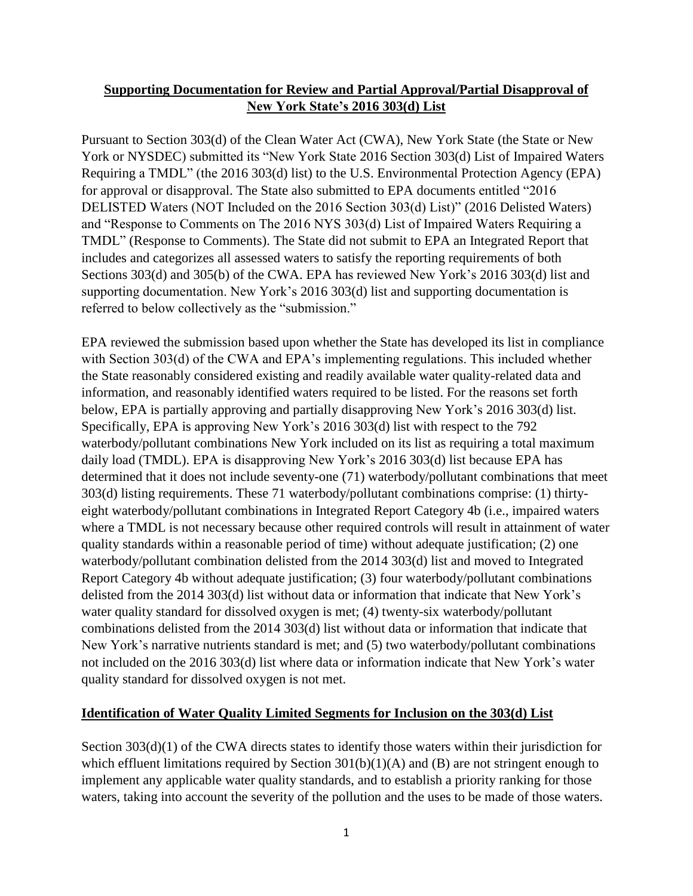### **Supporting Documentation for Review and Partial Approval/Partial Disapproval of New York State's 2016 303(d) List**

Pursuant to Section 303(d) of the Clean Water Act (CWA), New York State (the State or New York or NYSDEC) submitted its "New York State 2016 Section 303(d) List of Impaired Waters Requiring a TMDL" (the 2016 303(d) list) to the U.S. Environmental Protection Agency (EPA) for approval or disapproval. The State also submitted to EPA documents entitled "2016 DELISTED Waters (NOT Included on the 2016 Section 303(d) List)" (2016 Delisted Waters) and "Response to Comments on The 2016 NYS 303(d) List of Impaired Waters Requiring a TMDL" (Response to Comments). The State did not submit to EPA an Integrated Report that includes and categorizes all assessed waters to satisfy the reporting requirements of both Sections 303(d) and 305(b) of the CWA. EPA has reviewed New York's 2016 303(d) list and supporting documentation. New York's 2016 303(d) list and supporting documentation is referred to below collectively as the "submission."

EPA reviewed the submission based upon whether the State has developed its list in compliance with Section 303(d) of the CWA and EPA's implementing regulations. This included whether the State reasonably considered existing and readily available water quality-related data and information, and reasonably identified waters required to be listed. For the reasons set forth below, EPA is partially approving and partially disapproving New York's 2016 303(d) list. Specifically, EPA is approving New York's 2016 303(d) list with respect to the 792 waterbody/pollutant combinations New York included on its list as requiring a total maximum daily load (TMDL). EPA is disapproving New York's 2016 303(d) list because EPA has determined that it does not include seventy-one (71) waterbody/pollutant combinations that meet 303(d) listing requirements. These 71 waterbody/pollutant combinations comprise: (1) thirtyeight waterbody/pollutant combinations in Integrated Report Category 4b (i.e., impaired waters where a TMDL is not necessary because other required controls will result in attainment of water quality standards within a reasonable period of time) without adequate justification; (2) one waterbody/pollutant combination delisted from the 2014 303(d) list and moved to Integrated Report Category 4b without adequate justification; (3) four waterbody/pollutant combinations delisted from the 2014 303(d) list without data or information that indicate that New York's water quality standard for dissolved oxygen is met; (4) twenty-six waterbody/pollutant combinations delisted from the 2014 303(d) list without data or information that indicate that New York's narrative nutrients standard is met; and (5) two waterbody/pollutant combinations not included on the 2016 303(d) list where data or information indicate that New York's water quality standard for dissolved oxygen is not met.

#### **Identification of Water Quality Limited Segments for Inclusion on the 303(d) List**

Section 303(d)(1) of the CWA directs states to identify those waters within their jurisdiction for which effluent limitations required by Section  $301(b)(1)(A)$  and (B) are not stringent enough to implement any applicable water quality standards, and to establish a priority ranking for those waters, taking into account the severity of the pollution and the uses to be made of those waters.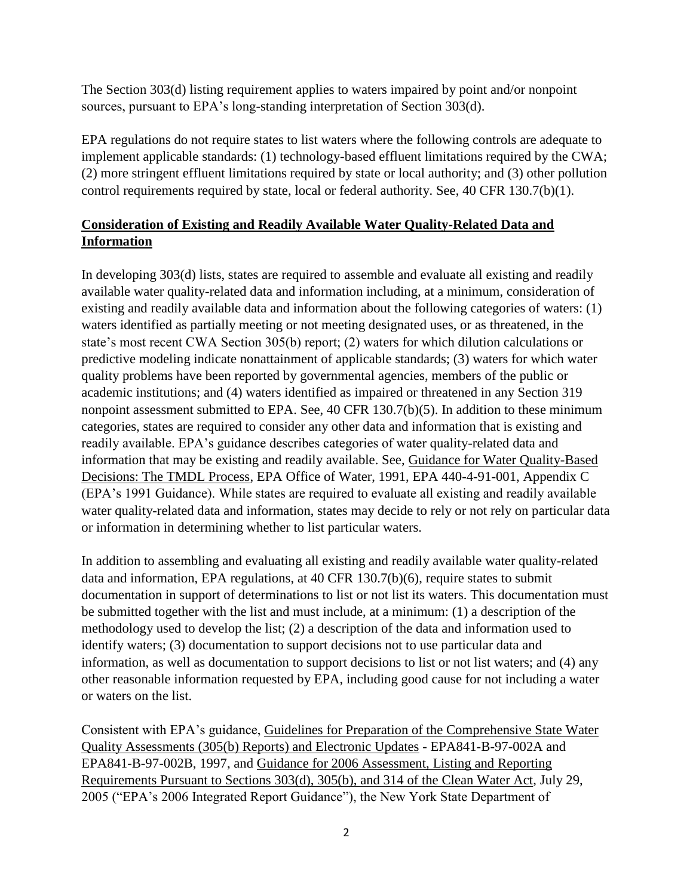The Section 303(d) listing requirement applies to waters impaired by point and/or nonpoint sources, pursuant to EPA's long-standing interpretation of Section 303(d).

EPA regulations do not require states to list waters where the following controls are adequate to implement applicable standards: (1) technology-based effluent limitations required by the CWA; (2) more stringent effluent limitations required by state or local authority; and (3) other pollution control requirements required by state, local or federal authority. See, 40 CFR 130.7(b)(1).

# **Consideration of Existing and Readily Available Water Quality-Related Data and Information**

In developing 303(d) lists, states are required to assemble and evaluate all existing and readily available water quality-related data and information including, at a minimum, consideration of existing and readily available data and information about the following categories of waters: (1) waters identified as partially meeting or not meeting designated uses, or as threatened, in the state's most recent CWA Section 305(b) report; (2) waters for which dilution calculations or predictive modeling indicate nonattainment of applicable standards; (3) waters for which water quality problems have been reported by governmental agencies, members of the public or academic institutions; and (4) waters identified as impaired or threatened in any Section 319 nonpoint assessment submitted to EPA. See, 40 CFR 130.7(b)(5). In addition to these minimum categories, states are required to consider any other data and information that is existing and readily available. EPA's guidance describes categories of water quality-related data and information that may be existing and readily available. See, Guidance for Water Quality-Based Decisions: The TMDL Process, EPA Office of Water, 1991, EPA 440-4-91-001, Appendix C (EPA's 1991 Guidance). While states are required to evaluate all existing and readily available water quality-related data and information, states may decide to rely or not rely on particular data or information in determining whether to list particular waters.

In addition to assembling and evaluating all existing and readily available water quality-related data and information, EPA regulations, at 40 CFR 130.7(b)(6), require states to submit documentation in support of determinations to list or not list its waters. This documentation must be submitted together with the list and must include, at a minimum: (1) a description of the methodology used to develop the list; (2) a description of the data and information used to identify waters; (3) documentation to support decisions not to use particular data and information, as well as documentation to support decisions to list or not list waters; and (4) any other reasonable information requested by EPA, including good cause for not including a water or waters on the list.

Consistent with EPA's guidance, Guidelines for Preparation of the Comprehensive State Water Quality Assessments (305(b) Reports) and Electronic Updates - EPA841-B-97-002A and EPA841-B-97-002B, 1997, and Guidance for 2006 Assessment, Listing and Reporting Requirements Pursuant to Sections 303(d), 305(b), and 314 of the Clean Water Act, July 29, 2005 ("EPA's 2006 Integrated Report Guidance"), the New York State Department of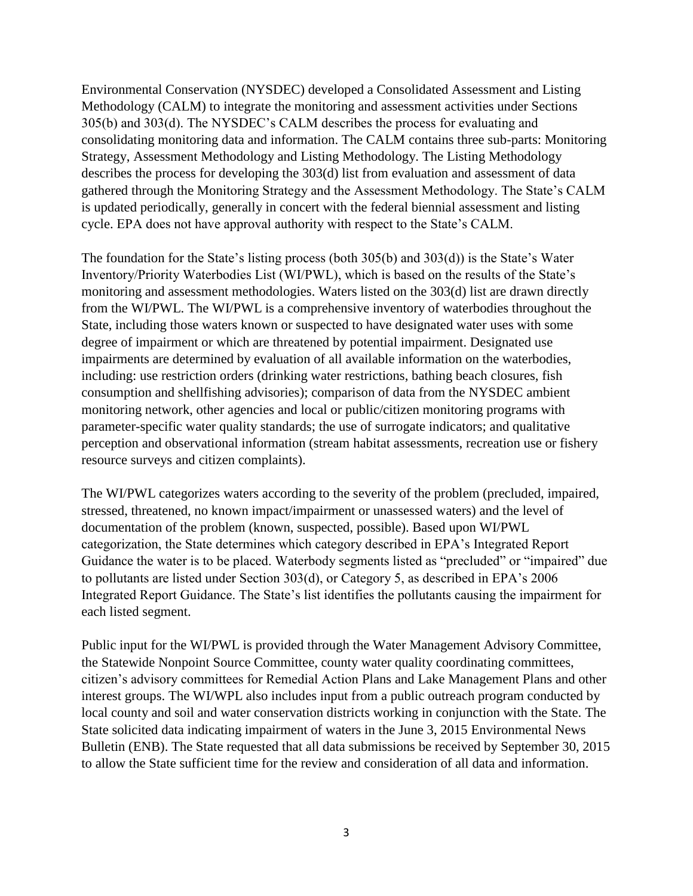Environmental Conservation (NYSDEC) developed a Consolidated Assessment and Listing Methodology (CALM) to integrate the monitoring and assessment activities under Sections 305(b) and 303(d). The NYSDEC's CALM describes the process for evaluating and consolidating monitoring data and information. The CALM contains three sub-parts: Monitoring Strategy, Assessment Methodology and Listing Methodology. The Listing Methodology describes the process for developing the 303(d) list from evaluation and assessment of data gathered through the Monitoring Strategy and the Assessment Methodology. The State's CALM is updated periodically, generally in concert with the federal biennial assessment and listing cycle. EPA does not have approval authority with respect to the State's CALM.

The foundation for the State's listing process (both 305(b) and 303(d)) is the State's Water Inventory/Priority Waterbodies List (WI/PWL), which is based on the results of the State's monitoring and assessment methodologies. Waters listed on the 303(d) list are drawn directly from the WI/PWL. The WI/PWL is a comprehensive inventory of waterbodies throughout the State, including those waters known or suspected to have designated water uses with some degree of impairment or which are threatened by potential impairment. Designated use impairments are determined by evaluation of all available information on the waterbodies, including: use restriction orders (drinking water restrictions, bathing beach closures, fish consumption and shellfishing advisories); comparison of data from the NYSDEC ambient monitoring network, other agencies and local or public/citizen monitoring programs with parameter-specific water quality standards; the use of surrogate indicators; and qualitative perception and observational information (stream habitat assessments, recreation use or fishery resource surveys and citizen complaints).

The WI/PWL categorizes waters according to the severity of the problem (precluded, impaired, stressed, threatened, no known impact/impairment or unassessed waters) and the level of documentation of the problem (known, suspected, possible). Based upon WI/PWL categorization, the State determines which category described in EPA's Integrated Report Guidance the water is to be placed. Waterbody segments listed as "precluded" or "impaired" due to pollutants are listed under Section 303(d), or Category 5, as described in EPA's 2006 Integrated Report Guidance. The State's list identifies the pollutants causing the impairment for each listed segment.

Public input for the WI/PWL is provided through the Water Management Advisory Committee, the Statewide Nonpoint Source Committee, county water quality coordinating committees, citizen's advisory committees for Remedial Action Plans and Lake Management Plans and other interest groups. The WI/WPL also includes input from a public outreach program conducted by local county and soil and water conservation districts working in conjunction with the State. The State solicited data indicating impairment of waters in the June 3, 2015 Environmental News Bulletin (ENB). The State requested that all data submissions be received by September 30, 2015 to allow the State sufficient time for the review and consideration of all data and information.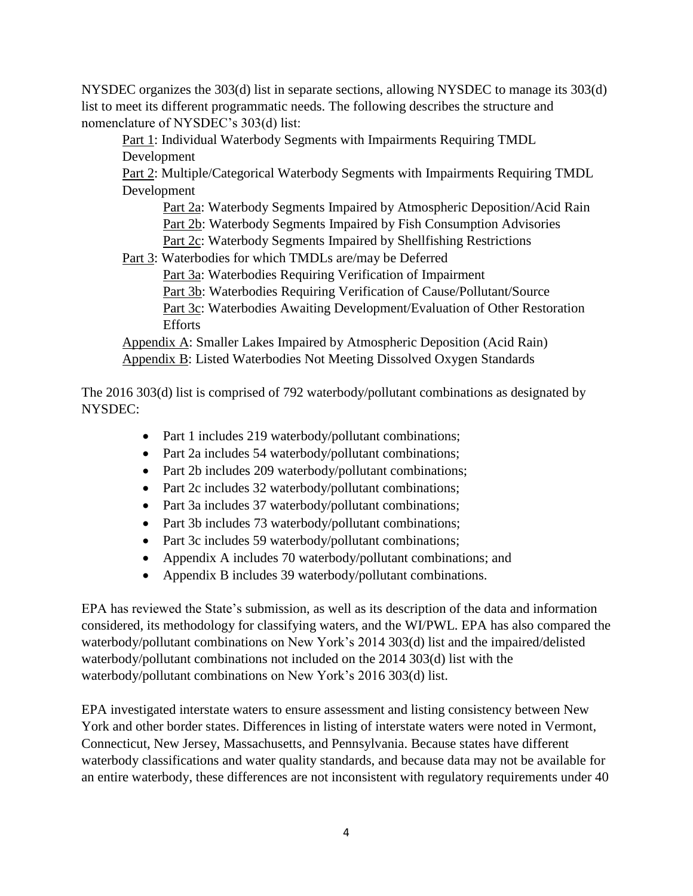NYSDEC organizes the 303(d) list in separate sections, allowing NYSDEC to manage its 303(d) list to meet its different programmatic needs. The following describes the structure and nomenclature of NYSDEC's 303(d) list:

Part 1: Individual Waterbody Segments with Impairments Requiring TMDL Development

Part 2: Multiple/Categorical Waterbody Segments with Impairments Requiring TMDL Development

Part 2a: Waterbody Segments Impaired by Atmospheric Deposition/Acid Rain Part 2b: Waterbody Segments Impaired by Fish Consumption Advisories

Part 2c: Waterbody Segments Impaired by Shellfishing Restrictions

Part 3: Waterbodies for which TMDLs are/may be Deferred

Part 3a: Waterbodies Requiring Verification of Impairment

Part 3b: Waterbodies Requiring Verification of Cause/Pollutant/Source

Part 3c: Waterbodies Awaiting Development/Evaluation of Other Restoration Efforts

Appendix A: Smaller Lakes Impaired by Atmospheric Deposition (Acid Rain) Appendix B: Listed Waterbodies Not Meeting Dissolved Oxygen Standards

The 2016 303(d) list is comprised of 792 waterbody/pollutant combinations as designated by NYSDEC:

- Part 1 includes 219 waterbody/pollutant combinations;
- Part 2a includes 54 waterbody/pollutant combinations;
- Part 2b includes 209 waterbody/pollutant combinations;
- Part 2c includes 32 waterbody/pollutant combinations;
- Part 3a includes 37 waterbody/pollutant combinations;
- Part 3b includes 73 waterbody/pollutant combinations;
- Part 3c includes 59 waterbody/pollutant combinations;
- Appendix A includes 70 waterbody/pollutant combinations; and
- Appendix B includes 39 waterbody/pollutant combinations.

EPA has reviewed the State's submission, as well as its description of the data and information considered, its methodology for classifying waters, and the WI/PWL. EPA has also compared the waterbody/pollutant combinations on New York's 2014 303(d) list and the impaired/delisted waterbody/pollutant combinations not included on the 2014 303(d) list with the waterbody/pollutant combinations on New York's 2016 303(d) list.

EPA investigated interstate waters to ensure assessment and listing consistency between New York and other border states. Differences in listing of interstate waters were noted in Vermont, Connecticut, New Jersey, Massachusetts, and Pennsylvania. Because states have different waterbody classifications and water quality standards, and because data may not be available for an entire waterbody, these differences are not inconsistent with regulatory requirements under 40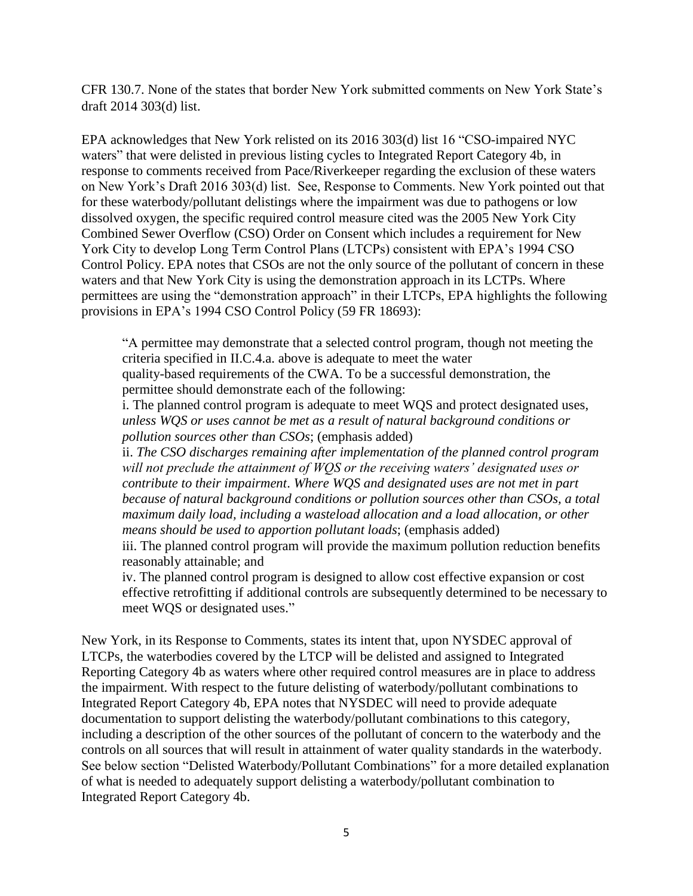CFR 130.7. None of the states that border New York submitted comments on New York State's draft 2014 303(d) list.

EPA acknowledges that New York relisted on its 2016 303(d) list 16 "CSO-impaired NYC waters" that were delisted in previous listing cycles to Integrated Report Category 4b, in response to comments received from Pace/Riverkeeper regarding the exclusion of these waters on New York's Draft 2016 303(d) list. See, Response to Comments. New York pointed out that for these waterbody/pollutant delistings where the impairment was due to pathogens or low dissolved oxygen, the specific required control measure cited was the 2005 New York City Combined Sewer Overflow (CSO) Order on Consent which includes a requirement for New York City to develop Long Term Control Plans (LTCPs) consistent with EPA's 1994 CSO Control Policy. EPA notes that CSOs are not the only source of the pollutant of concern in these waters and that New York City is using the demonstration approach in its LCTPs. Where permittees are using the "demonstration approach" in their LTCPs, EPA highlights the following provisions in EPA's 1994 CSO Control Policy (59 FR 18693):

"A permittee may demonstrate that a selected control program, though not meeting the criteria specified in II.C.4.a. above is adequate to meet the water quality-based requirements of the CWA. To be a successful demonstration, the permittee should demonstrate each of the following:

i. The planned control program is adequate to meet WQS and protect designated uses, *unless WQS or uses cannot be met as a result of natural background conditions or pollution sources other than CSOs*; (emphasis added)

ii. *The CSO discharges remaining after implementation of the planned control program will not preclude the attainment of WQS or the receiving waters' designated uses or contribute to their impairment*. *Where WQS and designated uses are not met in part because of natural background conditions or pollution sources other than CSOs, a total maximum daily load, including a wasteload allocation and a load allocation, or other means should be used to apportion pollutant loads*; (emphasis added)

iii. The planned control program will provide the maximum pollution reduction benefits reasonably attainable; and

iv. The planned control program is designed to allow cost effective expansion or cost effective retrofitting if additional controls are subsequently determined to be necessary to meet WQS or designated uses."

New York, in its Response to Comments, states its intent that, upon NYSDEC approval of LTCPs, the waterbodies covered by the LTCP will be delisted and assigned to Integrated Reporting Category 4b as waters where other required control measures are in place to address the impairment. With respect to the future delisting of waterbody/pollutant combinations to Integrated Report Category 4b, EPA notes that NYSDEC will need to provide adequate documentation to support delisting the waterbody/pollutant combinations to this category, including a description of the other sources of the pollutant of concern to the waterbody and the controls on all sources that will result in attainment of water quality standards in the waterbody. See below section "Delisted Waterbody/Pollutant Combinations" for a more detailed explanation of what is needed to adequately support delisting a waterbody/pollutant combination to Integrated Report Category 4b.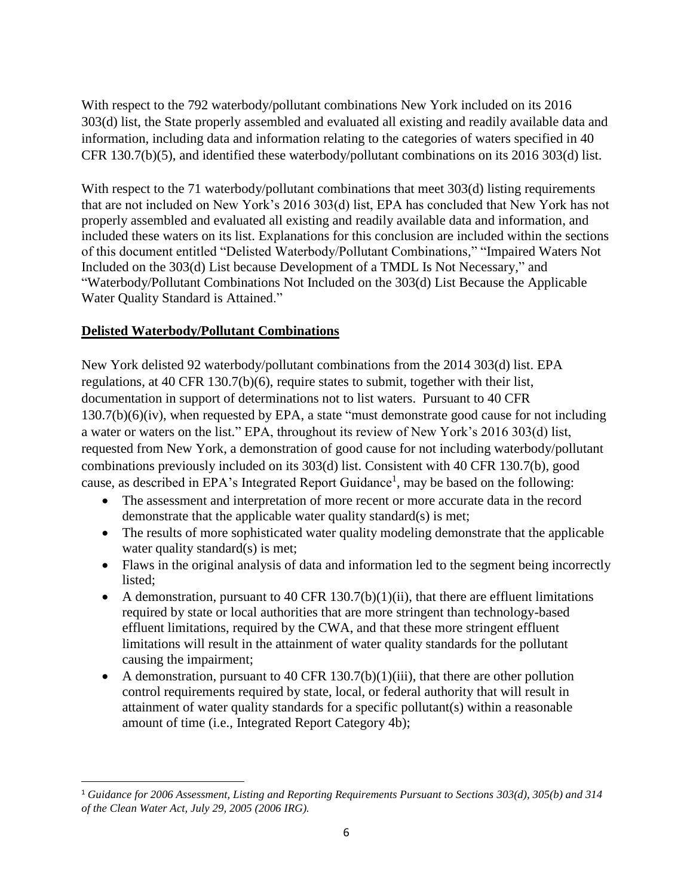With respect to the 792 waterbody/pollutant combinations New York included on its 2016 303(d) list, the State properly assembled and evaluated all existing and readily available data and information, including data and information relating to the categories of waters specified in 40 CFR 130.7(b)(5), and identified these waterbody/pollutant combinations on its 2016 303(d) list.

With respect to the 71 waterbody/pollutant combinations that meet 303(d) listing requirements that are not included on New York's 2016 303(d) list, EPA has concluded that New York has not properly assembled and evaluated all existing and readily available data and information, and included these waters on its list. Explanations for this conclusion are included within the sections of this document entitled "Delisted Waterbody/Pollutant Combinations," "Impaired Waters Not Included on the 303(d) List because Development of a TMDL Is Not Necessary," and "Waterbody/Pollutant Combinations Not Included on the 303(d) List Because the Applicable Water Quality Standard is Attained."

# **Delisted Waterbody/Pollutant Combinations**

New York delisted 92 waterbody/pollutant combinations from the 2014 303(d) list. EPA regulations, at 40 CFR 130.7(b)(6), require states to submit, together with their list, documentation in support of determinations not to list waters. Pursuant to 40 CFR 130.7(b)(6)(iv), when requested by EPA, a state "must demonstrate good cause for not including a water or waters on the list." EPA, throughout its review of New York's 2016 303(d) list, requested from New York, a demonstration of good cause for not including waterbody/pollutant combinations previously included on its 303(d) list. Consistent with 40 CFR 130.7(b), good cause, as described in EPA's Integrated Report Guidance<sup>1</sup>, may be based on the following:

- The assessment and interpretation of more recent or more accurate data in the record demonstrate that the applicable water quality standard(s) is met;
- The results of more sophisticated water quality modeling demonstrate that the applicable water quality standard(s) is met;
- Flaws in the original analysis of data and information led to the segment being incorrectly listed;
- A demonstration, pursuant to 40 CFR  $130.7(b)(1)(ii)$ , that there are effluent limitations required by state or local authorities that are more stringent than technology-based effluent limitations, required by the CWA, and that these more stringent effluent limitations will result in the attainment of water quality standards for the pollutant causing the impairment;
- A demonstration, pursuant to 40 CFR  $130.7(b)(1)(iii)$ , that there are other pollution control requirements required by state, local, or federal authority that will result in attainment of water quality standards for a specific pollutant(s) within a reasonable amount of time (i.e., Integrated Report Category 4b);

l <sup>1</sup> *Guidance for 2006 Assessment, Listing and Reporting Requirements Pursuant to Sections 303(d), 305(b) and 314 of the Clean Water Act, July 29, 2005 (2006 IRG).*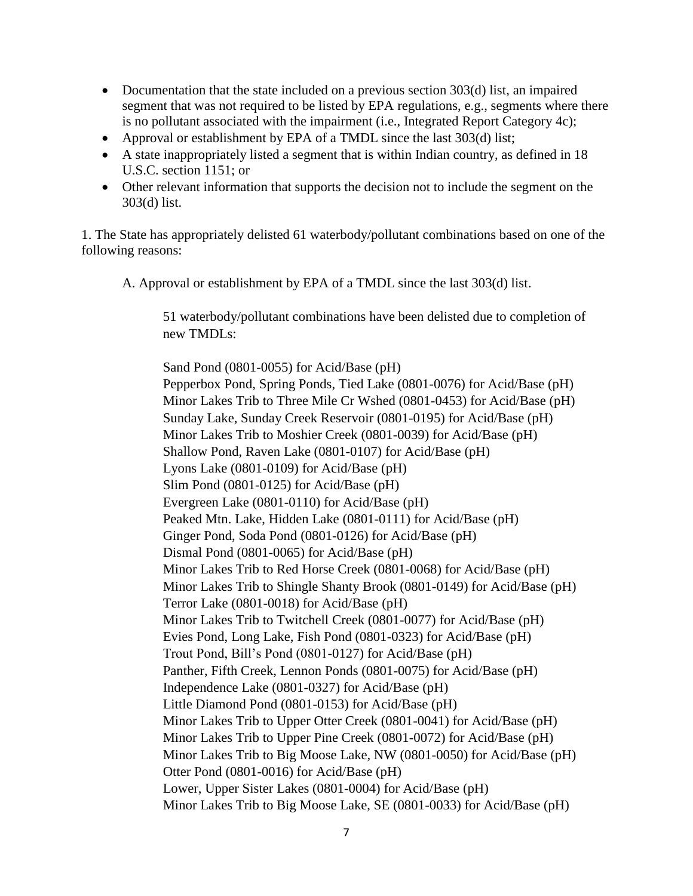- Documentation that the state included on a previous section 303(d) list, an impaired segment that was not required to be listed by EPA regulations, e.g., segments where there is no pollutant associated with the impairment (i.e., Integrated Report Category 4c);
- Approval or establishment by EPA of a TMDL since the last 303(d) list;
- A state inappropriately listed a segment that is within Indian country, as defined in 18 U.S.C. section 1151; or
- Other relevant information that supports the decision not to include the segment on the 303(d) list.

1. The State has appropriately delisted 61 waterbody/pollutant combinations based on one of the following reasons:

A. Approval or establishment by EPA of a TMDL since the last 303(d) list.

51 waterbody/pollutant combinations have been delisted due to completion of new TMDLs:

Sand Pond (0801-0055) for Acid/Base (pH) Pepperbox Pond, Spring Ponds, Tied Lake (0801-0076) for Acid/Base (pH) Minor Lakes Trib to Three Mile Cr Wshed (0801-0453) for Acid/Base (pH) Sunday Lake, Sunday Creek Reservoir (0801-0195) for Acid/Base (pH) Minor Lakes Trib to Moshier Creek (0801-0039) for Acid/Base (pH) Shallow Pond, Raven Lake (0801-0107) for Acid/Base (pH) Lyons Lake (0801-0109) for Acid/Base (pH) Slim Pond (0801-0125) for Acid/Base (pH) Evergreen Lake (0801-0110) for Acid/Base (pH) Peaked Mtn. Lake, Hidden Lake (0801-0111) for Acid/Base (pH) Ginger Pond, Soda Pond (0801-0126) for Acid/Base (pH) Dismal Pond (0801-0065) for Acid/Base (pH) Minor Lakes Trib to Red Horse Creek (0801-0068) for Acid/Base (pH) Minor Lakes Trib to Shingle Shanty Brook (0801-0149) for Acid/Base (pH) Terror Lake (0801-0018) for Acid/Base (pH) Minor Lakes Trib to Twitchell Creek (0801-0077) for Acid/Base (pH) Evies Pond, Long Lake, Fish Pond (0801-0323) for Acid/Base (pH) Trout Pond, Bill's Pond (0801-0127) for Acid/Base (pH) Panther, Fifth Creek, Lennon Ponds (0801-0075) for Acid/Base (pH) Independence Lake (0801-0327) for Acid/Base (pH) Little Diamond Pond (0801-0153) for Acid/Base (pH) Minor Lakes Trib to Upper Otter Creek (0801-0041) for Acid/Base (pH) Minor Lakes Trib to Upper Pine Creek (0801-0072) for Acid/Base (pH) Minor Lakes Trib to Big Moose Lake, NW (0801-0050) for Acid/Base (pH) Otter Pond (0801-0016) for Acid/Base (pH) Lower, Upper Sister Lakes (0801-0004) for Acid/Base (pH) Minor Lakes Trib to Big Moose Lake, SE (0801-0033) for Acid/Base (pH)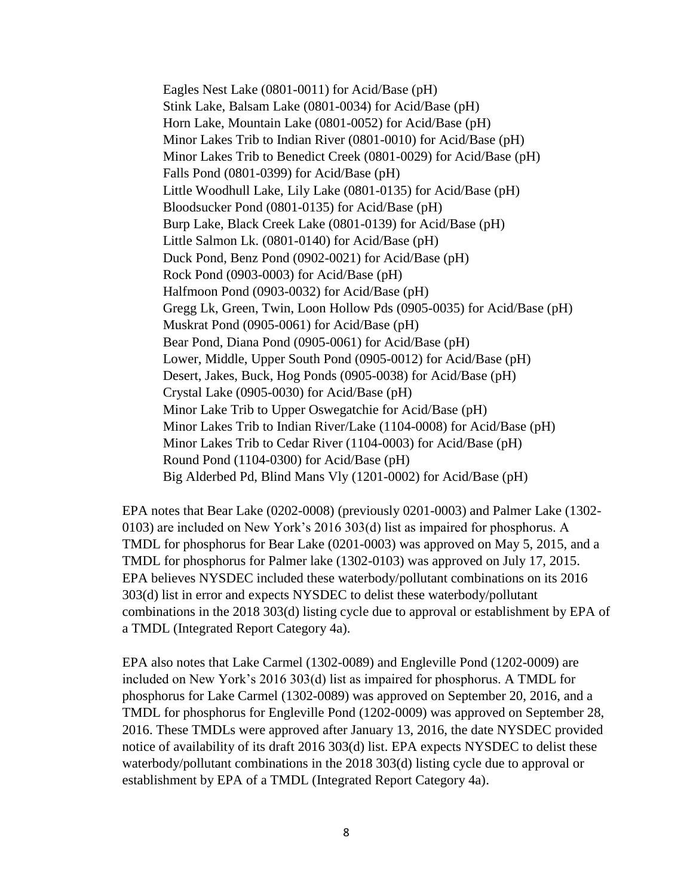Eagles Nest Lake (0801-0011) for Acid/Base (pH) Stink Lake, Balsam Lake (0801-0034) for Acid/Base (pH) Horn Lake, Mountain Lake (0801-0052) for Acid/Base (pH) Minor Lakes Trib to Indian River (0801-0010) for Acid/Base (pH) Minor Lakes Trib to Benedict Creek (0801-0029) for Acid/Base (pH) Falls Pond (0801-0399) for Acid/Base (pH) Little Woodhull Lake, Lily Lake (0801-0135) for Acid/Base (pH) Bloodsucker Pond (0801-0135) for Acid/Base (pH) Burp Lake, Black Creek Lake (0801-0139) for Acid/Base (pH) Little Salmon Lk. (0801-0140) for Acid/Base (pH) Duck Pond, Benz Pond (0902-0021) for Acid/Base (pH) Rock Pond (0903-0003) for Acid/Base (pH) Halfmoon Pond (0903-0032) for Acid/Base (pH) Gregg Lk, Green, Twin, Loon Hollow Pds (0905-0035) for Acid/Base (pH) Muskrat Pond (0905-0061) for Acid/Base (pH) Bear Pond, Diana Pond (0905-0061) for Acid/Base (pH) Lower, Middle, Upper South Pond (0905-0012) for Acid/Base (pH) Desert, Jakes, Buck, Hog Ponds (0905-0038) for Acid/Base (pH) Crystal Lake (0905-0030) for Acid/Base (pH) Minor Lake Trib to Upper Oswegatchie for Acid/Base (pH) Minor Lakes Trib to Indian River/Lake (1104-0008) for Acid/Base (pH) Minor Lakes Trib to Cedar River (1104-0003) for Acid/Base (pH) Round Pond (1104-0300) for Acid/Base (pH) Big Alderbed Pd, Blind Mans Vly (1201-0002) for Acid/Base (pH)

EPA notes that Bear Lake (0202-0008) (previously 0201-0003) and Palmer Lake (1302- 0103) are included on New York's 2016 303(d) list as impaired for phosphorus. A TMDL for phosphorus for Bear Lake (0201-0003) was approved on May 5, 2015, and a TMDL for phosphorus for Palmer lake (1302-0103) was approved on July 17, 2015. EPA believes NYSDEC included these waterbody/pollutant combinations on its 2016 303(d) list in error and expects NYSDEC to delist these waterbody/pollutant combinations in the 2018 303(d) listing cycle due to approval or establishment by EPA of a TMDL (Integrated Report Category 4a).

EPA also notes that Lake Carmel (1302-0089) and Engleville Pond (1202-0009) are included on New York's 2016 303(d) list as impaired for phosphorus. A TMDL for phosphorus for Lake Carmel (1302-0089) was approved on September 20, 2016, and a TMDL for phosphorus for Engleville Pond (1202-0009) was approved on September 28, 2016. These TMDLs were approved after January 13, 2016, the date NYSDEC provided notice of availability of its draft 2016 303(d) list. EPA expects NYSDEC to delist these waterbody/pollutant combinations in the 2018 303(d) listing cycle due to approval or establishment by EPA of a TMDL (Integrated Report Category 4a).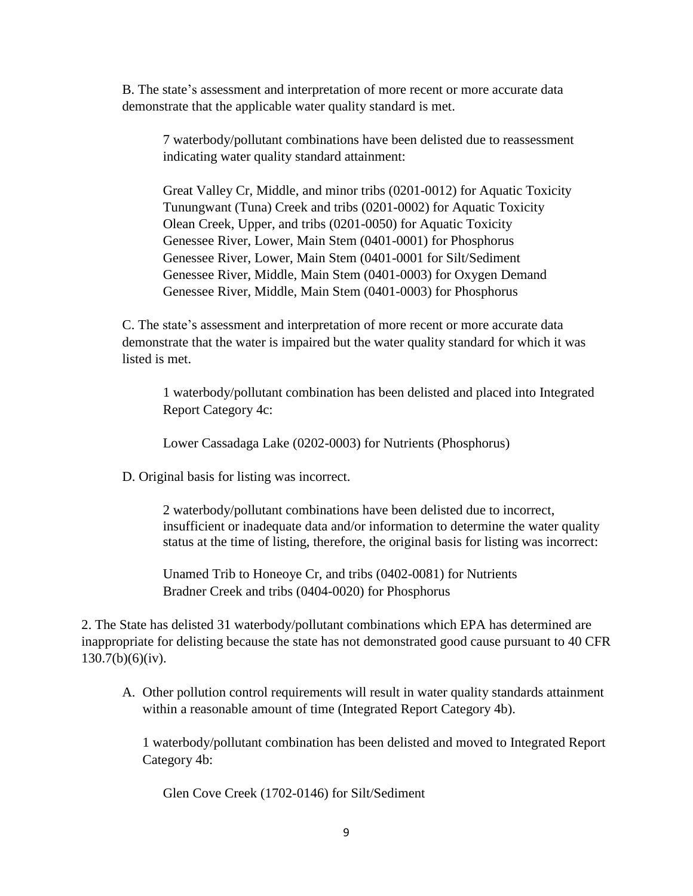B. The state's assessment and interpretation of more recent or more accurate data demonstrate that the applicable water quality standard is met.

7 waterbody/pollutant combinations have been delisted due to reassessment indicating water quality standard attainment:

Great Valley Cr, Middle, and minor tribs (0201-0012) for Aquatic Toxicity Tunungwant (Tuna) Creek and tribs (0201-0002) for Aquatic Toxicity Olean Creek, Upper, and tribs (0201-0050) for Aquatic Toxicity Genessee River, Lower, Main Stem (0401-0001) for Phosphorus Genessee River, Lower, Main Stem (0401-0001 for Silt/Sediment Genessee River, Middle, Main Stem (0401-0003) for Oxygen Demand Genessee River, Middle, Main Stem (0401-0003) for Phosphorus

C. The state's assessment and interpretation of more recent or more accurate data demonstrate that the water is impaired but the water quality standard for which it was listed is met.

1 waterbody/pollutant combination has been delisted and placed into Integrated Report Category 4c:

Lower Cassadaga Lake (0202-0003) for Nutrients (Phosphorus)

D. Original basis for listing was incorrect.

2 waterbody/pollutant combinations have been delisted due to incorrect, insufficient or inadequate data and/or information to determine the water quality status at the time of listing, therefore, the original basis for listing was incorrect:

Unamed Trib to Honeoye Cr, and tribs (0402-0081) for Nutrients Bradner Creek and tribs (0404-0020) for Phosphorus

2. The State has delisted 31 waterbody/pollutant combinations which EPA has determined are inappropriate for delisting because the state has not demonstrated good cause pursuant to 40 CFR 130.7(b)(6)(iv).

A. Other pollution control requirements will result in water quality standards attainment within a reasonable amount of time (Integrated Report Category 4b).

1 waterbody/pollutant combination has been delisted and moved to Integrated Report Category 4b:

Glen Cove Creek (1702-0146) for Silt/Sediment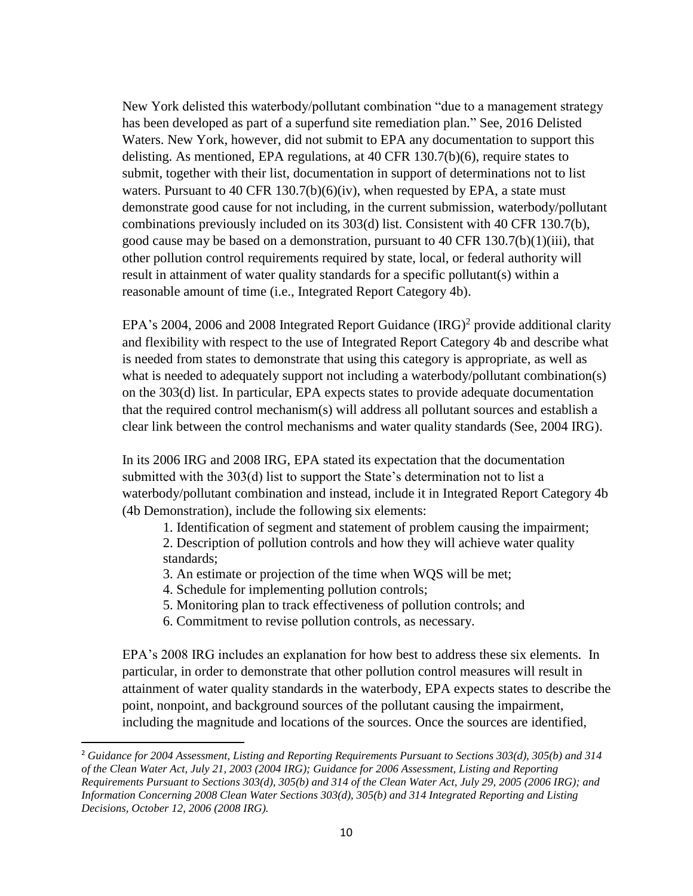New York delisted this waterbody/pollutant combination "due to a management strategy has been developed as part of a superfund site remediation plan." See, 2016 Delisted Waters. New York, however, did not submit to EPA any documentation to support this delisting. As mentioned, EPA regulations, at 40 CFR 130.7(b)(6), require states to submit, together with their list, documentation in support of determinations not to list waters. Pursuant to 40 CFR 130.7(b)( $6$ )(iv), when requested by EPA, a state must demonstrate good cause for not including, in the current submission, waterbody/pollutant combinations previously included on its 303(d) list. Consistent with 40 CFR 130.7(b), good cause may be based on a demonstration, pursuant to 40 CFR 130.7(b)(1)(iii), that other pollution control requirements required by state, local, or federal authority will result in attainment of water quality standards for a specific pollutant(s) within a reasonable amount of time (i.e., Integrated Report Category 4b).

EPA's 2004, 2006 and 2008 Integrated Report Guidance  $(IRG)^2$  provide additional clarity and flexibility with respect to the use of Integrated Report Category 4b and describe what is needed from states to demonstrate that using this category is appropriate, as well as what is needed to adequately support not including a waterbody/pollutant combination(s) on the 303(d) list. In particular, EPA expects states to provide adequate documentation that the required control mechanism(s) will address all pollutant sources and establish a clear link between the control mechanisms and water quality standards (See, 2004 IRG).

In its 2006 IRG and 2008 IRG, EPA stated its expectation that the documentation submitted with the 303(d) list to support the State's determination not to list a waterbody/pollutant combination and instead, include it in Integrated Report Category 4b (4b Demonstration), include the following six elements:

- 1. Identification of segment and statement of problem causing the impairment; 2. Description of pollution controls and how they will achieve water quality standards;
- 3. An estimate or projection of the time when WQS will be met;
- 4. Schedule for implementing pollution controls;

 $\overline{a}$ 

- 5. Monitoring plan to track effectiveness of pollution controls; and
- 6. Commitment to revise pollution controls, as necessary.

EPA's 2008 IRG includes an explanation for how best to address these six elements. In particular, in order to demonstrate that other pollution control measures will result in attainment of water quality standards in the waterbody, EPA expects states to describe the point, nonpoint, and background sources of the pollutant causing the impairment, including the magnitude and locations of the sources. Once the sources are identified,

<sup>2</sup> *Guidance for 2004 Assessment, Listing and Reporting Requirements Pursuant to Sections 303(d), 305(b) and 314 of the Clean Water Act, July 21, 2003 (2004 IRG); Guidance for 2006 Assessment, Listing and Reporting Requirements Pursuant to Sections 303(d), 305(b) and 314 of the Clean Water Act, July 29, 2005 (2006 IRG); and Information Concerning 2008 Clean Water Sections 303(d), 305(b) and 314 Integrated Reporting and Listing Decisions, October 12, 2006 (2008 IRG).*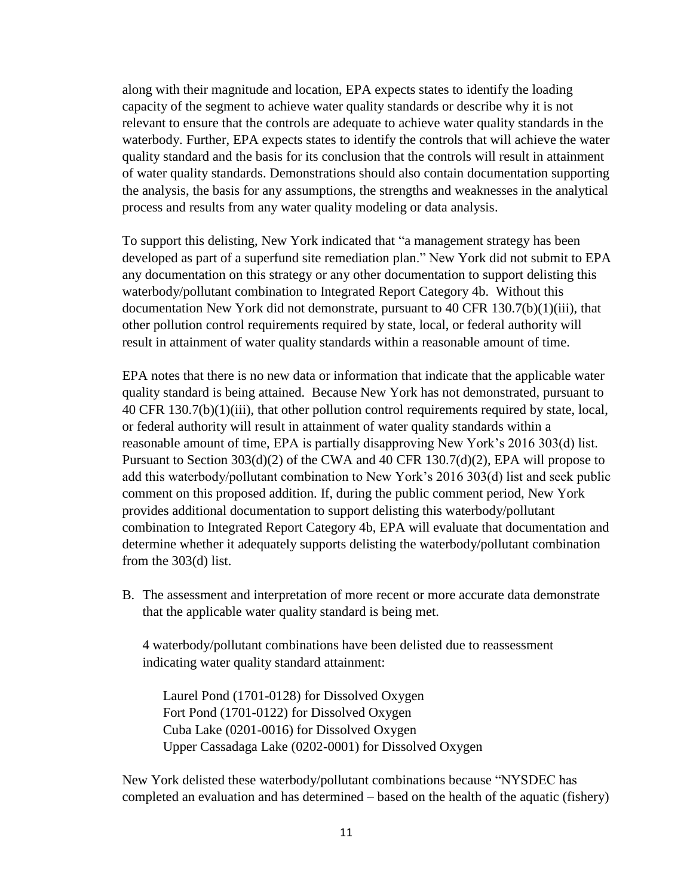along with their magnitude and location, EPA expects states to identify the loading capacity of the segment to achieve water quality standards or describe why it is not relevant to ensure that the controls are adequate to achieve water quality standards in the waterbody. Further, EPA expects states to identify the controls that will achieve the water quality standard and the basis for its conclusion that the controls will result in attainment of water quality standards. Demonstrations should also contain documentation supporting the analysis, the basis for any assumptions, the strengths and weaknesses in the analytical process and results from any water quality modeling or data analysis.

To support this delisting, New York indicated that "a management strategy has been developed as part of a superfund site remediation plan." New York did not submit to EPA any documentation on this strategy or any other documentation to support delisting this waterbody/pollutant combination to Integrated Report Category 4b. Without this documentation New York did not demonstrate, pursuant to 40 CFR 130.7(b)(1)(iii), that other pollution control requirements required by state, local, or federal authority will result in attainment of water quality standards within a reasonable amount of time.

EPA notes that there is no new data or information that indicate that the applicable water quality standard is being attained. Because New York has not demonstrated, pursuant to 40 CFR 130.7(b)(1)(iii), that other pollution control requirements required by state, local, or federal authority will result in attainment of water quality standards within a reasonable amount of time, EPA is partially disapproving New York's 2016 303(d) list. Pursuant to Section 303(d)(2) of the CWA and 40 CFR 130.7(d)(2), EPA will propose to add this waterbody/pollutant combination to New York's 2016 303(d) list and seek public comment on this proposed addition. If, during the public comment period, New York provides additional documentation to support delisting this waterbody/pollutant combination to Integrated Report Category 4b, EPA will evaluate that documentation and determine whether it adequately supports delisting the waterbody/pollutant combination from the 303(d) list.

B. The assessment and interpretation of more recent or more accurate data demonstrate that the applicable water quality standard is being met.

4 waterbody/pollutant combinations have been delisted due to reassessment indicating water quality standard attainment:

Laurel Pond (1701-0128) for Dissolved Oxygen Fort Pond (1701-0122) for Dissolved Oxygen Cuba Lake (0201-0016) for Dissolved Oxygen Upper Cassadaga Lake (0202-0001) for Dissolved Oxygen

New York delisted these waterbody/pollutant combinations because "NYSDEC has completed an evaluation and has determined – based on the health of the aquatic (fishery)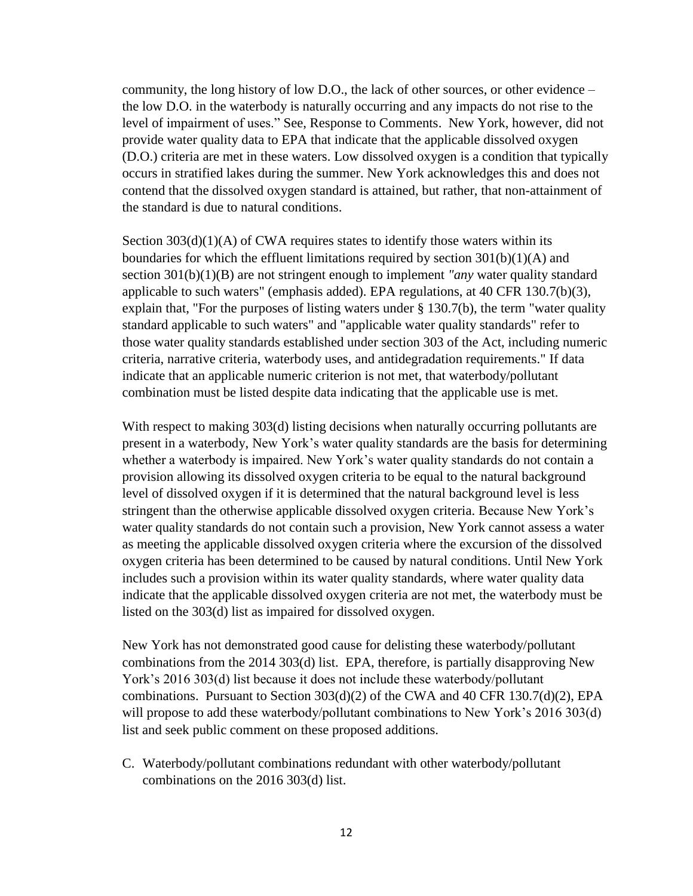community, the long history of low D.O., the lack of other sources, or other evidence – the low D.O. in the waterbody is naturally occurring and any impacts do not rise to the level of impairment of uses." See, Response to Comments. New York, however, did not provide water quality data to EPA that indicate that the applicable dissolved oxygen (D.O.) criteria are met in these waters. Low dissolved oxygen is a condition that typically occurs in stratified lakes during the summer. New York acknowledges this and does not contend that the dissolved oxygen standard is attained, but rather, that non-attainment of the standard is due to natural conditions.

Section  $303(d)(1)(A)$  of CWA requires states to identify those waters within its boundaries for which the effluent limitations required by section  $301(b)(1)(A)$  and section 301(b)(1)(B) are not stringent enough to implement *"any* water quality standard applicable to such waters" (emphasis added). EPA regulations, at 40 CFR 130.7(b)(3), explain that, "For the purposes of listing waters under § 130.7(b), the term "water quality standard applicable to such waters" and "applicable water quality standards" refer to those water quality standards established under section 303 of the Act, including numeric criteria, narrative criteria, waterbody uses, and antidegradation requirements." If data indicate that an applicable numeric criterion is not met, that waterbody/pollutant combination must be listed despite data indicating that the applicable use is met.

With respect to making 303(d) listing decisions when naturally occurring pollutants are present in a waterbody, New York's water quality standards are the basis for determining whether a waterbody is impaired. New York's water quality standards do not contain a provision allowing its dissolved oxygen criteria to be equal to the natural background level of dissolved oxygen if it is determined that the natural background level is less stringent than the otherwise applicable dissolved oxygen criteria. Because New York's water quality standards do not contain such a provision, New York cannot assess a water as meeting the applicable dissolved oxygen criteria where the excursion of the dissolved oxygen criteria has been determined to be caused by natural conditions. Until New York includes such a provision within its water quality standards, where water quality data indicate that the applicable dissolved oxygen criteria are not met, the waterbody must be listed on the 303(d) list as impaired for dissolved oxygen.

New York has not demonstrated good cause for delisting these waterbody/pollutant combinations from the 2014 303(d) list. EPA, therefore, is partially disapproving New York's 2016 303(d) list because it does not include these waterbody/pollutant combinations. Pursuant to Section 303(d)(2) of the CWA and 40 CFR 130.7(d)(2), EPA will propose to add these waterbody/pollutant combinations to New York's 2016 303(d) list and seek public comment on these proposed additions.

C. Waterbody/pollutant combinations redundant with other waterbody/pollutant combinations on the 2016 303(d) list.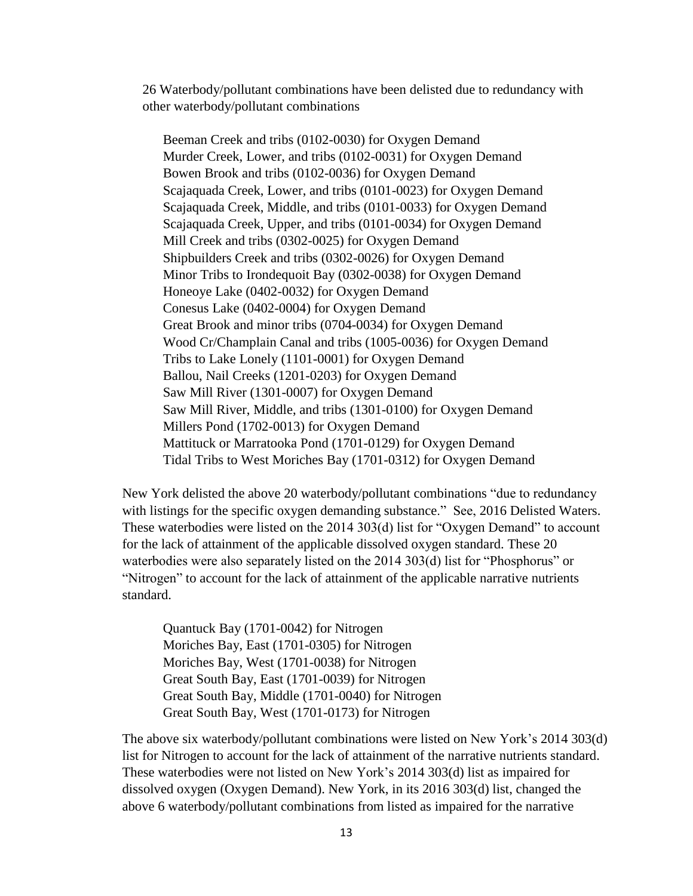26 Waterbody/pollutant combinations have been delisted due to redundancy with other waterbody/pollutant combinations

Beeman Creek and tribs (0102-0030) for Oxygen Demand Murder Creek, Lower, and tribs (0102-0031) for Oxygen Demand Bowen Brook and tribs (0102-0036) for Oxygen Demand Scajaquada Creek, Lower, and tribs (0101-0023) for Oxygen Demand Scajaquada Creek, Middle, and tribs (0101-0033) for Oxygen Demand Scajaquada Creek, Upper, and tribs (0101-0034) for Oxygen Demand Mill Creek and tribs (0302-0025) for Oxygen Demand Shipbuilders Creek and tribs (0302-0026) for Oxygen Demand Minor Tribs to Irondequoit Bay (0302-0038) for Oxygen Demand Honeoye Lake (0402-0032) for Oxygen Demand Conesus Lake (0402-0004) for Oxygen Demand Great Brook and minor tribs (0704-0034) for Oxygen Demand Wood Cr/Champlain Canal and tribs (1005-0036) for Oxygen Demand Tribs to Lake Lonely (1101-0001) for Oxygen Demand Ballou, Nail Creeks (1201-0203) for Oxygen Demand Saw Mill River (1301-0007) for Oxygen Demand Saw Mill River, Middle, and tribs (1301-0100) for Oxygen Demand Millers Pond (1702-0013) for Oxygen Demand Mattituck or Marratooka Pond (1701-0129) for Oxygen Demand Tidal Tribs to West Moriches Bay (1701-0312) for Oxygen Demand

New York delisted the above 20 waterbody/pollutant combinations "due to redundancy with listings for the specific oxygen demanding substance." See, 2016 Delisted Waters. These waterbodies were listed on the 2014 303(d) list for "Oxygen Demand" to account for the lack of attainment of the applicable dissolved oxygen standard. These 20 waterbodies were also separately listed on the 2014 303(d) list for "Phosphorus" or "Nitrogen" to account for the lack of attainment of the applicable narrative nutrients standard.

Quantuck Bay (1701-0042) for Nitrogen Moriches Bay, East (1701-0305) for Nitrogen Moriches Bay, West (1701-0038) for Nitrogen Great South Bay, East (1701-0039) for Nitrogen Great South Bay, Middle (1701-0040) for Nitrogen Great South Bay, West (1701-0173) for Nitrogen

The above six waterbody/pollutant combinations were listed on New York's 2014 303(d) list for Nitrogen to account for the lack of attainment of the narrative nutrients standard. These waterbodies were not listed on New York's 2014 303(d) list as impaired for dissolved oxygen (Oxygen Demand). New York, in its 2016 303(d) list, changed the above 6 waterbody/pollutant combinations from listed as impaired for the narrative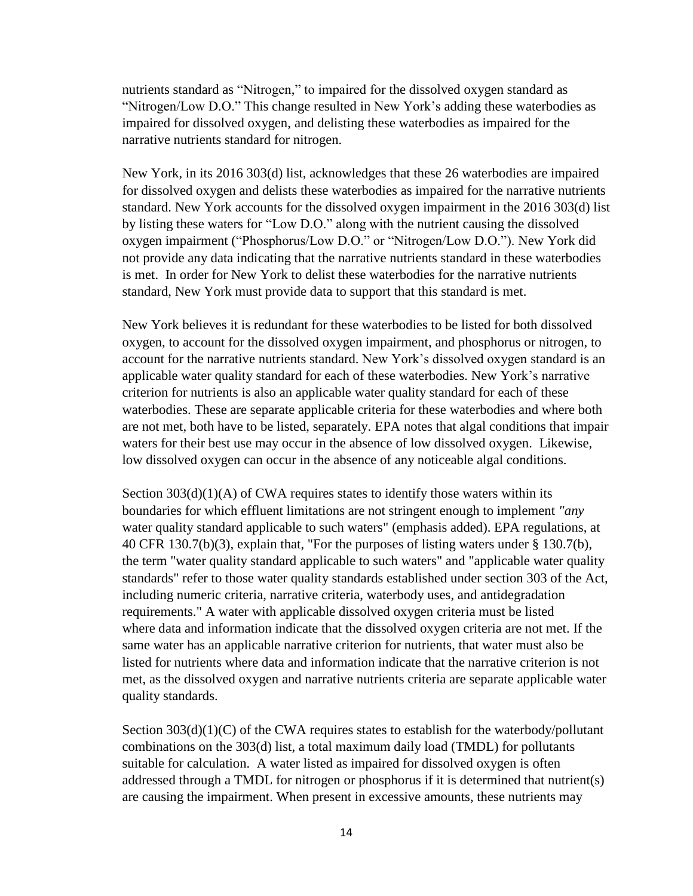nutrients standard as "Nitrogen," to impaired for the dissolved oxygen standard as "Nitrogen/Low D.O." This change resulted in New York's adding these waterbodies as impaired for dissolved oxygen, and delisting these waterbodies as impaired for the narrative nutrients standard for nitrogen.

New York, in its 2016 303(d) list, acknowledges that these 26 waterbodies are impaired for dissolved oxygen and delists these waterbodies as impaired for the narrative nutrients standard. New York accounts for the dissolved oxygen impairment in the 2016 303(d) list by listing these waters for "Low D.O." along with the nutrient causing the dissolved oxygen impairment ("Phosphorus/Low D.O." or "Nitrogen/Low D.O."). New York did not provide any data indicating that the narrative nutrients standard in these waterbodies is met. In order for New York to delist these waterbodies for the narrative nutrients standard, New York must provide data to support that this standard is met.

New York believes it is redundant for these waterbodies to be listed for both dissolved oxygen, to account for the dissolved oxygen impairment, and phosphorus or nitrogen, to account for the narrative nutrients standard. New York's dissolved oxygen standard is an applicable water quality standard for each of these waterbodies. New York's narrative criterion for nutrients is also an applicable water quality standard for each of these waterbodies. These are separate applicable criteria for these waterbodies and where both are not met, both have to be listed, separately. EPA notes that algal conditions that impair waters for their best use may occur in the absence of low dissolved oxygen. Likewise, low dissolved oxygen can occur in the absence of any noticeable algal conditions.

Section  $303(d)(1)(A)$  of CWA requires states to identify those waters within its boundaries for which effluent limitations are not stringent enough to implement *"any*  water quality standard applicable to such waters" (emphasis added). EPA regulations, at 40 CFR 130.7(b)(3), explain that, "For the purposes of listing waters under § 130.7(b), the term "water quality standard applicable to such waters" and "applicable water quality standards" refer to those water quality standards established under section 303 of the Act, including numeric criteria, narrative criteria, waterbody uses, and antidegradation requirements." A water with applicable dissolved oxygen criteria must be listed where data and information indicate that the dissolved oxygen criteria are not met. If the same water has an applicable narrative criterion for nutrients, that water must also be listed for nutrients where data and information indicate that the narrative criterion is not met, as the dissolved oxygen and narrative nutrients criteria are separate applicable water quality standards.

Section  $303(d)(1)(C)$  of the CWA requires states to establish for the waterbody/pollutant combinations on the 303(d) list, a total maximum daily load (TMDL) for pollutants suitable for calculation. A water listed as impaired for dissolved oxygen is often addressed through a TMDL for nitrogen or phosphorus if it is determined that nutrient(s) are causing the impairment. When present in excessive amounts, these nutrients may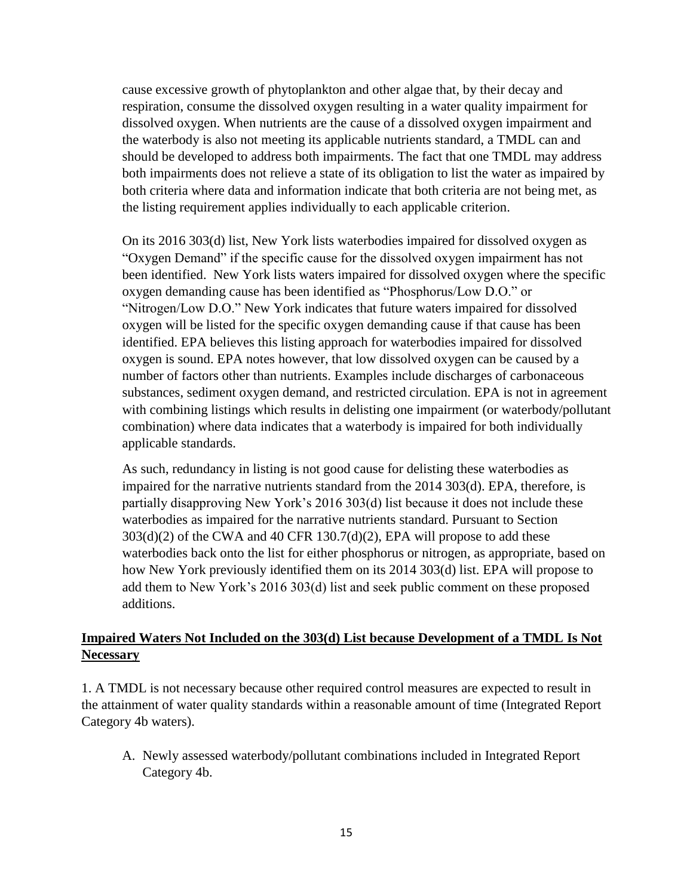cause excessive growth of phytoplankton and other algae that, by their decay and respiration, consume the dissolved oxygen resulting in a water quality impairment for dissolved oxygen. When nutrients are the cause of a dissolved oxygen impairment and the waterbody is also not meeting its applicable nutrients standard, a TMDL can and should be developed to address both impairments. The fact that one TMDL may address both impairments does not relieve a state of its obligation to list the water as impaired by both criteria where data and information indicate that both criteria are not being met, as the listing requirement applies individually to each applicable criterion.

On its 2016 303(d) list, New York lists waterbodies impaired for dissolved oxygen as "Oxygen Demand" if the specific cause for the dissolved oxygen impairment has not been identified. New York lists waters impaired for dissolved oxygen where the specific oxygen demanding cause has been identified as "Phosphorus/Low D.O." or "Nitrogen/Low D.O." New York indicates that future waters impaired for dissolved oxygen will be listed for the specific oxygen demanding cause if that cause has been identified. EPA believes this listing approach for waterbodies impaired for dissolved oxygen is sound. EPA notes however, that low dissolved oxygen can be caused by a number of factors other than nutrients. Examples include discharges of carbonaceous substances, sediment oxygen demand, and restricted circulation. EPA is not in agreement with combining listings which results in delisting one impairment (or waterbody/pollutant combination) where data indicates that a waterbody is impaired for both individually applicable standards.

As such, redundancy in listing is not good cause for delisting these waterbodies as impaired for the narrative nutrients standard from the 2014 303(d). EPA, therefore, is partially disapproving New York's 2016 303(d) list because it does not include these waterbodies as impaired for the narrative nutrients standard. Pursuant to Section  $303(d)(2)$  of the CWA and 40 CFR 130.7(d)(2), EPA will propose to add these waterbodies back onto the list for either phosphorus or nitrogen, as appropriate, based on how New York previously identified them on its 2014 303(d) list. EPA will propose to add them to New York's 2016 303(d) list and seek public comment on these proposed additions.

#### **Impaired Waters Not Included on the 303(d) List because Development of a TMDL Is Not Necessary**

1. A TMDL is not necessary because other required control measures are expected to result in the attainment of water quality standards within a reasonable amount of time (Integrated Report Category 4b waters).

A. Newly assessed waterbody/pollutant combinations included in Integrated Report Category 4b.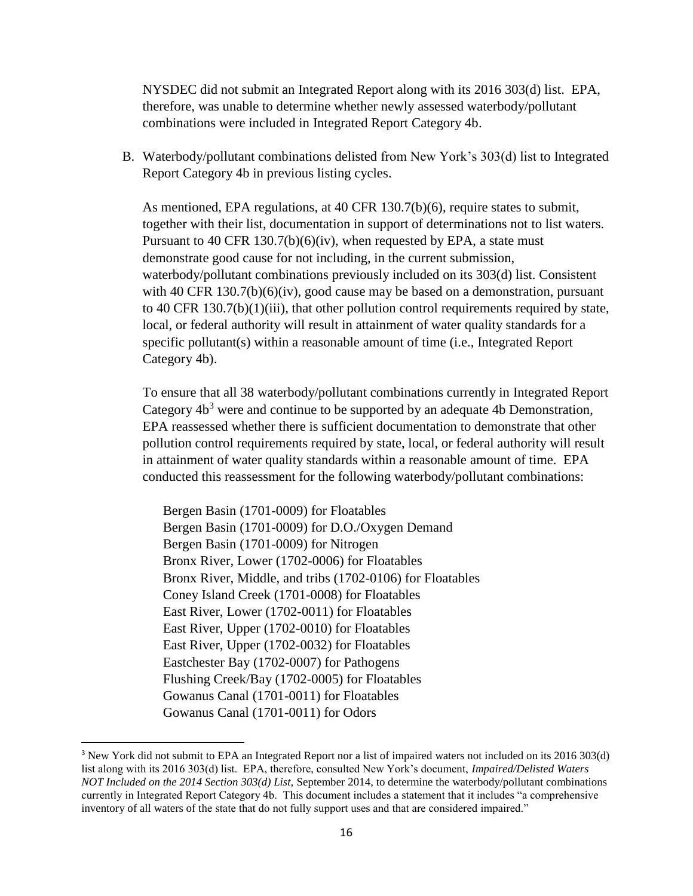NYSDEC did not submit an Integrated Report along with its 2016 303(d) list. EPA, therefore, was unable to determine whether newly assessed waterbody/pollutant combinations were included in Integrated Report Category 4b.

B. Waterbody/pollutant combinations delisted from New York's 303(d) list to Integrated Report Category 4b in previous listing cycles.

As mentioned, EPA regulations, at 40 CFR 130.7(b)(6), require states to submit, together with their list, documentation in support of determinations not to list waters. Pursuant to 40 CFR 130.7(b)(6)(iv), when requested by EPA, a state must demonstrate good cause for not including, in the current submission, waterbody/pollutant combinations previously included on its 303(d) list. Consistent with 40 CFR 130.7(b)(6)(iv), good cause may be based on a demonstration, pursuant to 40 CFR  $130.7(b)(1)(iii)$ , that other pollution control requirements required by state, local, or federal authority will result in attainment of water quality standards for a specific pollutant(s) within a reasonable amount of time (i.e., Integrated Report Category 4b).

To ensure that all 38 waterbody/pollutant combinations currently in Integrated Report Category  $4b<sup>3</sup>$  were and continue to be supported by an adequate 4b Demonstration, EPA reassessed whether there is sufficient documentation to demonstrate that other pollution control requirements required by state, local, or federal authority will result in attainment of water quality standards within a reasonable amount of time. EPA conducted this reassessment for the following waterbody/pollutant combinations:

Bergen Basin (1701-0009) for Floatables Bergen Basin (1701-0009) for D.O./Oxygen Demand Bergen Basin (1701-0009) for Nitrogen Bronx River, Lower (1702-0006) for Floatables Bronx River, Middle, and tribs (1702-0106) for Floatables Coney Island Creek (1701-0008) for Floatables East River, Lower (1702-0011) for Floatables East River, Upper (1702-0010) for Floatables East River, Upper (1702-0032) for Floatables Eastchester Bay (1702-0007) for Pathogens Flushing Creek/Bay (1702-0005) for Floatables Gowanus Canal (1701-0011) for Floatables Gowanus Canal (1701-0011) for Odors

 $\overline{a}$ 

<sup>3</sup> New York did not submit to EPA an Integrated Report nor a list of impaired waters not included on its 2016 303(d) list along with its 2016 303(d) list. EPA, therefore, consulted New York's document, *Impaired/Delisted Waters NOT Included on the 2014 Section 303(d) List,* September 2014, to determine the waterbody/pollutant combinations currently in Integrated Report Category 4b. This document includes a statement that it includes "a comprehensive inventory of all waters of the state that do not fully support uses and that are considered impaired."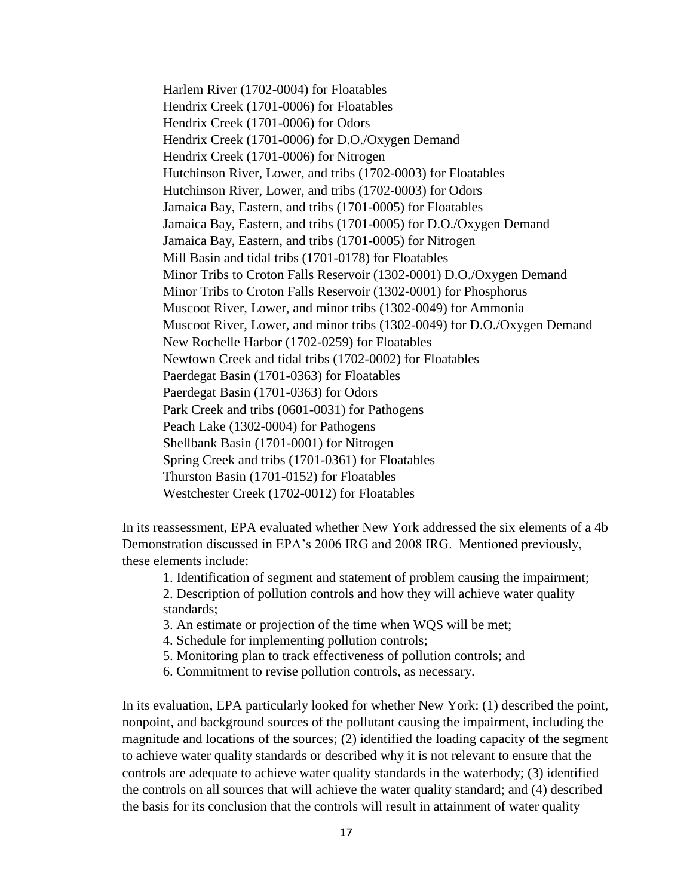Harlem River (1702-0004) for Floatables Hendrix Creek (1701-0006) for Floatables Hendrix Creek (1701-0006) for Odors Hendrix Creek (1701-0006) for D.O./Oxygen Demand Hendrix Creek (1701-0006) for Nitrogen Hutchinson River, Lower, and tribs (1702-0003) for Floatables Hutchinson River, Lower, and tribs (1702-0003) for Odors Jamaica Bay, Eastern, and tribs (1701-0005) for Floatables Jamaica Bay, Eastern, and tribs (1701-0005) for D.O./Oxygen Demand Jamaica Bay, Eastern, and tribs (1701-0005) for Nitrogen Mill Basin and tidal tribs (1701-0178) for Floatables Minor Tribs to Croton Falls Reservoir (1302-0001) D.O./Oxygen Demand Minor Tribs to Croton Falls Reservoir (1302-0001) for Phosphorus Muscoot River, Lower, and minor tribs (1302-0049) for Ammonia Muscoot River, Lower, and minor tribs (1302-0049) for D.O./Oxygen Demand New Rochelle Harbor (1702-0259) for Floatables Newtown Creek and tidal tribs (1702-0002) for Floatables Paerdegat Basin (1701-0363) for Floatables Paerdegat Basin (1701-0363) for Odors Park Creek and tribs (0601-0031) for Pathogens Peach Lake (1302-0004) for Pathogens Shellbank Basin (1701-0001) for Nitrogen Spring Creek and tribs (1701-0361) for Floatables Thurston Basin (1701-0152) for Floatables Westchester Creek (1702-0012) for Floatables

In its reassessment, EPA evaluated whether New York addressed the six elements of a 4b Demonstration discussed in EPA's 2006 IRG and 2008 IRG. Mentioned previously, these elements include:

1. Identification of segment and statement of problem causing the impairment;

2. Description of pollution controls and how they will achieve water quality standards;

3. An estimate or projection of the time when WQS will be met;

4. Schedule for implementing pollution controls;

5. Monitoring plan to track effectiveness of pollution controls; and

6. Commitment to revise pollution controls, as necessary.

In its evaluation, EPA particularly looked for whether New York: (1) described the point, nonpoint, and background sources of the pollutant causing the impairment, including the magnitude and locations of the sources; (2) identified the loading capacity of the segment to achieve water quality standards or described why it is not relevant to ensure that the controls are adequate to achieve water quality standards in the waterbody; (3) identified the controls on all sources that will achieve the water quality standard; and (4) described the basis for its conclusion that the controls will result in attainment of water quality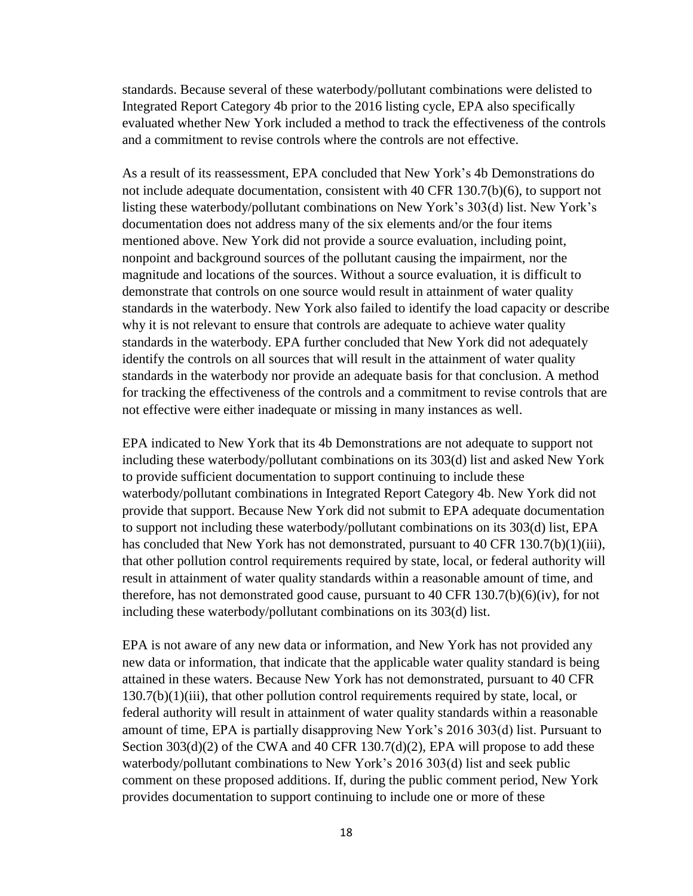standards. Because several of these waterbody/pollutant combinations were delisted to Integrated Report Category 4b prior to the 2016 listing cycle, EPA also specifically evaluated whether New York included a method to track the effectiveness of the controls and a commitment to revise controls where the controls are not effective.

As a result of its reassessment, EPA concluded that New York's 4b Demonstrations do not include adequate documentation, consistent with 40 CFR 130.7(b)(6), to support not listing these waterbody/pollutant combinations on New York's 303(d) list. New York's documentation does not address many of the six elements and/or the four items mentioned above. New York did not provide a source evaluation, including point, nonpoint and background sources of the pollutant causing the impairment, nor the magnitude and locations of the sources. Without a source evaluation, it is difficult to demonstrate that controls on one source would result in attainment of water quality standards in the waterbody. New York also failed to identify the load capacity or describe why it is not relevant to ensure that controls are adequate to achieve water quality standards in the waterbody. EPA further concluded that New York did not adequately identify the controls on all sources that will result in the attainment of water quality standards in the waterbody nor provide an adequate basis for that conclusion. A method for tracking the effectiveness of the controls and a commitment to revise controls that are not effective were either inadequate or missing in many instances as well.

EPA indicated to New York that its 4b Demonstrations are not adequate to support not including these waterbody/pollutant combinations on its 303(d) list and asked New York to provide sufficient documentation to support continuing to include these waterbody/pollutant combinations in Integrated Report Category 4b. New York did not provide that support. Because New York did not submit to EPA adequate documentation to support not including these waterbody/pollutant combinations on its 303(d) list, EPA has concluded that New York has not demonstrated, pursuant to 40 CFR 130.7(b)(1)(iii), that other pollution control requirements required by state, local, or federal authority will result in attainment of water quality standards within a reasonable amount of time, and therefore, has not demonstrated good cause, pursuant to 40 CFR 130.7(b)(6)(iv), for not including these waterbody/pollutant combinations on its 303(d) list.

EPA is not aware of any new data or information, and New York has not provided any new data or information, that indicate that the applicable water quality standard is being attained in these waters. Because New York has not demonstrated, pursuant to 40 CFR  $130.7(b)(1)(iii)$ , that other pollution control requirements required by state, local, or federal authority will result in attainment of water quality standards within a reasonable amount of time, EPA is partially disapproving New York's 2016 303(d) list. Pursuant to Section  $303(d)(2)$  of the CWA and  $40$  CFR  $130.7(d)(2)$ , EPA will propose to add these waterbody/pollutant combinations to New York's 2016 303(d) list and seek public comment on these proposed additions. If, during the public comment period, New York provides documentation to support continuing to include one or more of these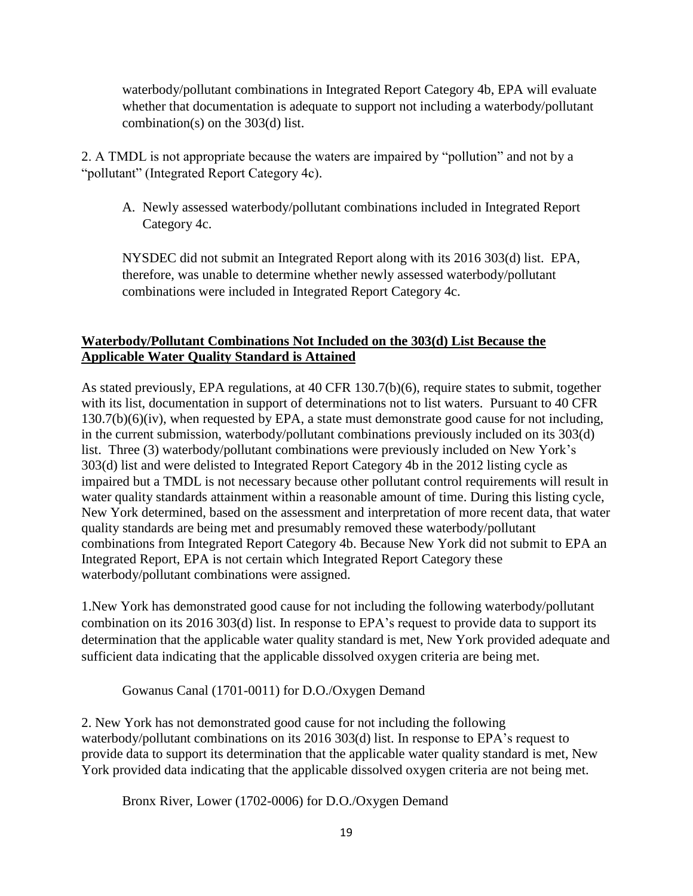waterbody/pollutant combinations in Integrated Report Category 4b, EPA will evaluate whether that documentation is adequate to support not including a waterbody/pollutant combination(s) on the 303(d) list.

2. A TMDL is not appropriate because the waters are impaired by "pollution" and not by a "pollutant" (Integrated Report Category 4c).

A. Newly assessed waterbody/pollutant combinations included in Integrated Report Category 4c.

NYSDEC did not submit an Integrated Report along with its 2016 303(d) list. EPA, therefore, was unable to determine whether newly assessed waterbody/pollutant combinations were included in Integrated Report Category 4c.

# **Waterbody/Pollutant Combinations Not Included on the 303(d) List Because the Applicable Water Quality Standard is Attained**

As stated previously, EPA regulations, at 40 CFR 130.7(b)(6), require states to submit, together with its list, documentation in support of determinations not to list waters. Pursuant to 40 CFR 130.7(b)(6)(iv), when requested by EPA, a state must demonstrate good cause for not including, in the current submission, waterbody/pollutant combinations previously included on its 303(d) list. Three (3) waterbody/pollutant combinations were previously included on New York's 303(d) list and were delisted to Integrated Report Category 4b in the 2012 listing cycle as impaired but a TMDL is not necessary because other pollutant control requirements will result in water quality standards attainment within a reasonable amount of time. During this listing cycle, New York determined, based on the assessment and interpretation of more recent data, that water quality standards are being met and presumably removed these waterbody/pollutant combinations from Integrated Report Category 4b. Because New York did not submit to EPA an Integrated Report, EPA is not certain which Integrated Report Category these waterbody/pollutant combinations were assigned.

1.New York has demonstrated good cause for not including the following waterbody/pollutant combination on its 2016 303(d) list. In response to EPA's request to provide data to support its determination that the applicable water quality standard is met, New York provided adequate and sufficient data indicating that the applicable dissolved oxygen criteria are being met.

Gowanus Canal (1701-0011) for D.O./Oxygen Demand

2. New York has not demonstrated good cause for not including the following waterbody/pollutant combinations on its 2016 303(d) list. In response to EPA's request to provide data to support its determination that the applicable water quality standard is met, New York provided data indicating that the applicable dissolved oxygen criteria are not being met.

Bronx River, Lower (1702-0006) for D.O./Oxygen Demand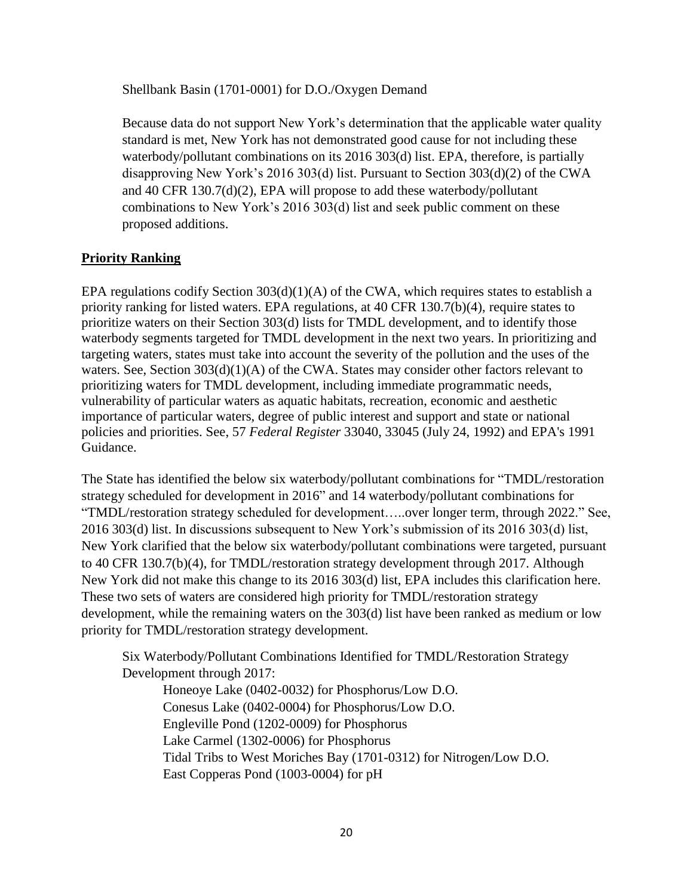Shellbank Basin (1701-0001) for D.O./Oxygen Demand

Because data do not support New York's determination that the applicable water quality standard is met, New York has not demonstrated good cause for not including these waterbody/pollutant combinations on its 2016 303(d) list. EPA, therefore, is partially disapproving New York's 2016 303(d) list. Pursuant to Section 303(d)(2) of the CWA and 40 CFR 130.7(d)(2), EPA will propose to add these waterbody/pollutant combinations to New York's 2016 303(d) list and seek public comment on these proposed additions.

# **Priority Ranking**

EPA regulations codify Section 303(d)(1)(A) of the CWA, which requires states to establish a priority ranking for listed waters. EPA regulations, at 40 CFR 130.7(b)(4), require states to prioritize waters on their Section 303(d) lists for TMDL development, and to identify those waterbody segments targeted for TMDL development in the next two years. In prioritizing and targeting waters, states must take into account the severity of the pollution and the uses of the waters. See, Section 303(d)(1)(A) of the CWA. States may consider other factors relevant to prioritizing waters for TMDL development, including immediate programmatic needs, vulnerability of particular waters as aquatic habitats, recreation, economic and aesthetic importance of particular waters, degree of public interest and support and state or national policies and priorities. See, 57 *Federal Register* 33040, 33045 (July 24, 1992) and EPA's 1991 Guidance.

The State has identified the below six waterbody/pollutant combinations for "TMDL/restoration strategy scheduled for development in 2016" and 14 waterbody/pollutant combinations for "TMDL/restoration strategy scheduled for development…..over longer term, through 2022." See, 2016 303(d) list. In discussions subsequent to New York's submission of its 2016 303(d) list, New York clarified that the below six waterbody/pollutant combinations were targeted, pursuant to 40 CFR 130.7(b)(4), for TMDL/restoration strategy development through 2017. Although New York did not make this change to its 2016 303(d) list, EPA includes this clarification here. These two sets of waters are considered high priority for TMDL/restoration strategy development, while the remaining waters on the 303(d) list have been ranked as medium or low priority for TMDL/restoration strategy development.

Six Waterbody/Pollutant Combinations Identified for TMDL/Restoration Strategy Development through 2017:

Honeoye Lake (0402-0032) for Phosphorus/Low D.O. Conesus Lake (0402-0004) for Phosphorus/Low D.O. Engleville Pond (1202-0009) for Phosphorus Lake Carmel (1302-0006) for Phosphorus Tidal Tribs to West Moriches Bay (1701-0312) for Nitrogen/Low D.O. East Copperas Pond (1003-0004) for pH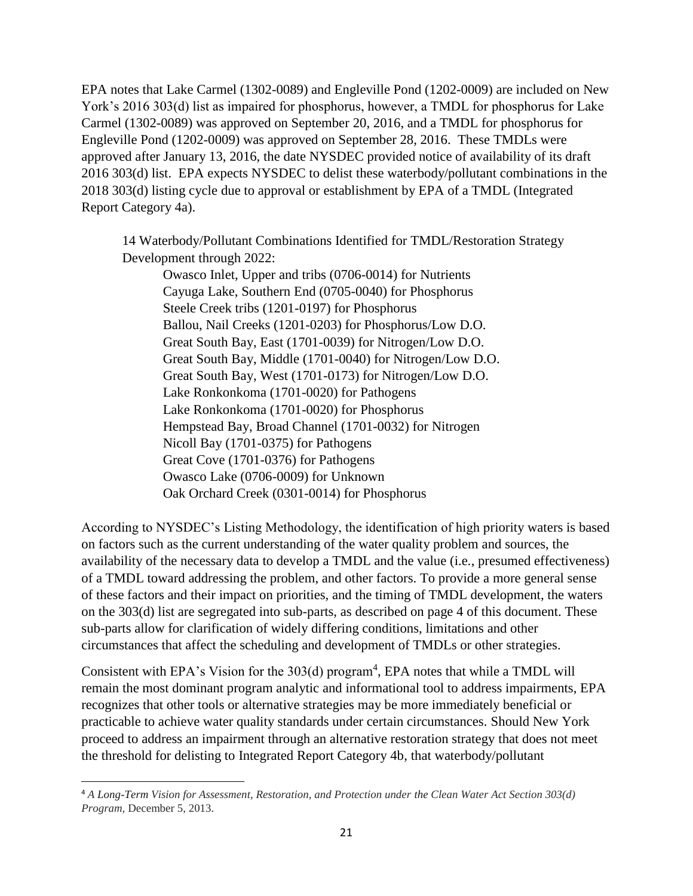EPA notes that Lake Carmel (1302-0089) and Engleville Pond (1202-0009) are included on New York's 2016 303(d) list as impaired for phosphorus, however, a TMDL for phosphorus for Lake Carmel (1302-0089) was approved on September 20, 2016, and a TMDL for phosphorus for Engleville Pond (1202-0009) was approved on September 28, 2016. These TMDLs were approved after January 13, 2016, the date NYSDEC provided notice of availability of its draft 2016 303(d) list. EPA expects NYSDEC to delist these waterbody/pollutant combinations in the 2018 303(d) listing cycle due to approval or establishment by EPA of a TMDL (Integrated Report Category 4a).

14 Waterbody/Pollutant Combinations Identified for TMDL/Restoration Strategy Development through 2022:

Owasco Inlet, Upper and tribs (0706-0014) for Nutrients Cayuga Lake, Southern End (0705-0040) for Phosphorus Steele Creek tribs (1201-0197) for Phosphorus Ballou, Nail Creeks (1201-0203) for Phosphorus/Low D.O. Great South Bay, East (1701-0039) for Nitrogen/Low D.O. Great South Bay, Middle (1701-0040) for Nitrogen/Low D.O. Great South Bay, West (1701-0173) for Nitrogen/Low D.O. Lake Ronkonkoma (1701-0020) for Pathogens Lake Ronkonkoma (1701-0020) for Phosphorus Hempstead Bay, Broad Channel (1701-0032) for Nitrogen Nicoll Bay (1701-0375) for Pathogens Great Cove (1701-0376) for Pathogens Owasco Lake (0706-0009) for Unknown Oak Orchard Creek (0301-0014) for Phosphorus

According to NYSDEC's Listing Methodology, the identification of high priority waters is based on factors such as the current understanding of the water quality problem and sources, the availability of the necessary data to develop a TMDL and the value (i.e., presumed effectiveness) of a TMDL toward addressing the problem, and other factors. To provide a more general sense of these factors and their impact on priorities, and the timing of TMDL development, the waters on the 303(d) list are segregated into sub-parts, as described on page 4 of this document. These sub-parts allow for clarification of widely differing conditions, limitations and other circumstances that affect the scheduling and development of TMDLs or other strategies.

Consistent with EPA's Vision for the  $303(d)$  program<sup>4</sup>, EPA notes that while a TMDL will remain the most dominant program analytic and informational tool to address impairments, EPA recognizes that other tools or alternative strategies may be more immediately beneficial or practicable to achieve water quality standards under certain circumstances. Should New York proceed to address an impairment through an alternative restoration strategy that does not meet the threshold for delisting to Integrated Report Category 4b, that waterbody/pollutant

l

<sup>4</sup> *A Long-Term Vision for Assessment, Restoration, and Protection under the Clean Water Act Section 303(d) Program,* December 5, 2013.